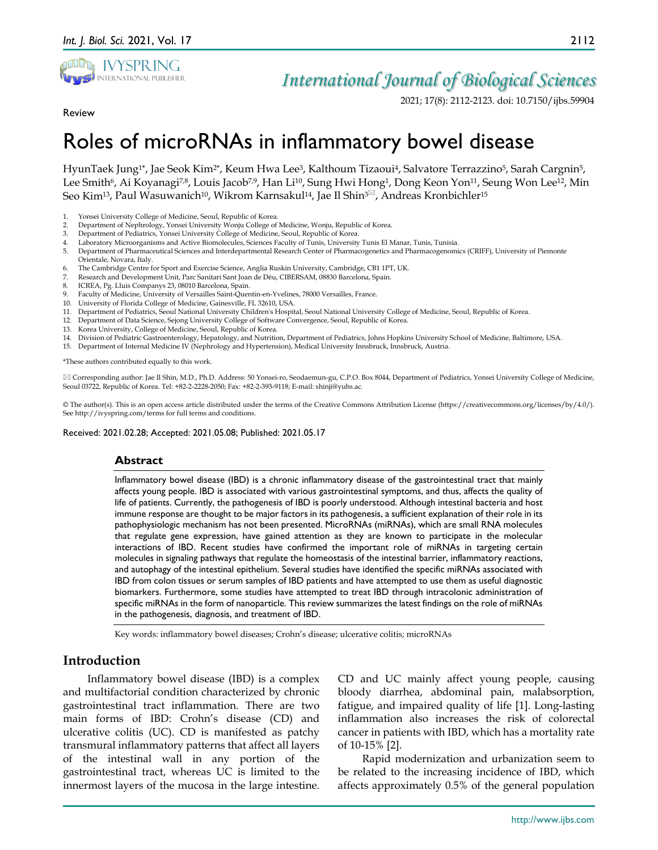

## *International Journal of Biological Sciences*

2021; 17(8): 2112-2123. doi: 10.7150/ijbs.59904

Review

# Roles of microRNAs in inflammatory bowel disease

HyunTaek Jung1**\***, Jae Seok Kim2**\***, Keum Hwa Lee3, Kalthoum Tizaoui4, Salvatore Terrazzino5, Sarah Cargnin5, Lee Smith<sup>6</sup>, Ai Koyanagi<sup>7,8</sup>, Louis Jacob<sup>7,9</sup>, Han Li<sup>10</sup>, Sung Hwi Hong<sup>1</sup>, Dong Keon Yon<sup>11</sup>, Seung Won Lee<sup>12</sup>, Min Seo Kim<sup>13</sup>, Paul Wasuwanich<sup>10</sup>, Wikrom Karnsakul<sup>14</sup>, Jae Il Shin<sup>3 $\Xi$ </sup>, Andreas Kronbichler<sup>15</sup>

- 2. Department of Nephrology, Yonsei University Wonju College of Medicine, Wonju, Republic of Korea.
- 3. Department of Pediatrics, Yonsei University College of Medicine, Seoul, Republic of Korea.
- 4. Laboratory Microorganisms and Active Biomolecules, Sciences Faculty of Tunis, University Tunis El Manar, Tunis, Tunisia.
- 5. Department of Pharmaceutical Sciences and Interdepartmental Research Center of Pharmacogenetics and Pharmacogenomics (CRIFF), University of Piemonte Orientale, Novara, Italy.
- 6. The Cambridge Centre for Sport and Exercise Science, Anglia Ruskin University, Cambridge, CB1 1PT, UK.
- 7. Research and Development Unit, Parc Sanitari Sant Joan de Déu, CIBERSAM, 08830 Barcelona, Spain.
- 8. ICREA, Pg. Lluis Companys 23, 08010 Barcelona, Spain.
- 9. Faculty of Medicine, University of Versailles Saint-Quentin-en-Yvelines, 78000 Versailles, France.
- 10. University of Florida College of Medicine, Gainesville, FL 32610, USA.
- 11. Department of Pediatrics, Seoul National University Children's Hospital, Seoul National University College of Medicine, Seoul, Republic of Korea.
- 12. Department of Data Science, Sejong University College of Software Convergence, Seoul, Republic of Korea.
- 13. Korea University, College of Medicine, Seoul, Republic of Korea.
- 14. Division of Pediatric Gastroenterology, Hepatology, and Nutrition, Department of Pediatrics, Johns Hopkins University School of Medicine, Baltimore, USA.
- 15. Department of Internal Medicine IV (Nephrology and Hypertension), Medical University Innsbruck, Innsbruck, Austria.

\*These authors contributed equally to this work.

 Corresponding author: Jae Il Shin, M.D., Ph.D. Address: 50 Yonsei-ro, Seodaemun-gu, C.P.O. Box 8044, Department of Pediatrics, Yonsei University College of Medicine, Seoul 03722, Republic of Korea. Tel: +82-2-2228-2050; Fax: +82-2-393-9118; E-mail: shinji@yuhs.ac.

© The author(s). This is an open access article distributed under the terms of the Creative Commons Attribution License (https://creativecommons.org/licenses/by/4.0/). See http://ivyspring.com/terms for full terms and conditions.

Received: 2021.02.28; Accepted: 2021.05.08; Published: 2021.05.17

#### **Abstract**

Inflammatory bowel disease (IBD) is a chronic inflammatory disease of the gastrointestinal tract that mainly affects young people. IBD is associated with various gastrointestinal symptoms, and thus, affects the quality of life of patients. Currently, the pathogenesis of IBD is poorly understood. Although intestinal bacteria and host immune response are thought to be major factors in its pathogenesis, a sufficient explanation of their role in its pathophysiologic mechanism has not been presented. MicroRNAs (miRNAs), which are small RNA molecules that regulate gene expression, have gained attention as they are known to participate in the molecular interactions of IBD. Recent studies have confirmed the important role of miRNAs in targeting certain molecules in signaling pathways that regulate the homeostasis of the intestinal barrier, inflammatory reactions, and autophagy of the intestinal epithelium. Several studies have identified the specific miRNAs associated with IBD from colon tissues or serum samples of IBD patients and have attempted to use them as useful diagnostic biomarkers. Furthermore, some studies have attempted to treat IBD through intracolonic administration of specific miRNAs in the form of nanoparticle. This review summarizes the latest findings on the role of miRNAs in the pathogenesis, diagnosis, and treatment of IBD.

Key words: inflammatory bowel diseases; Crohn's disease; ulcerative colitis; microRNAs

## **Introduction**

Inflammatory bowel disease (IBD) is a complex and multifactorial condition characterized by chronic gastrointestinal tract inflammation. There are two main forms of IBD: Crohn's disease (CD) and ulcerative colitis (UC). CD is manifested as patchy transmural inflammatory patterns that affect all layers of the intestinal wall in any portion of the gastrointestinal tract, whereas UC is limited to the innermost layers of the mucosa in the large intestine.

CD and UC mainly affect young people, causing bloody diarrhea, abdominal pain, malabsorption, fatigue, and impaired quality of life [1]. Long-lasting inflammation also increases the risk of colorectal cancer in patients with IBD, which has a mortality rate of 10-15% [2].

Rapid modernization and urbanization seem to be related to the increasing incidence of IBD, which affects approximately 0.5% of the general population

<sup>1.</sup> Yonsei University College of Medicine, Seoul, Republic of Korea.<br>2. Department of Nephrology. Yonsei University Woniu College of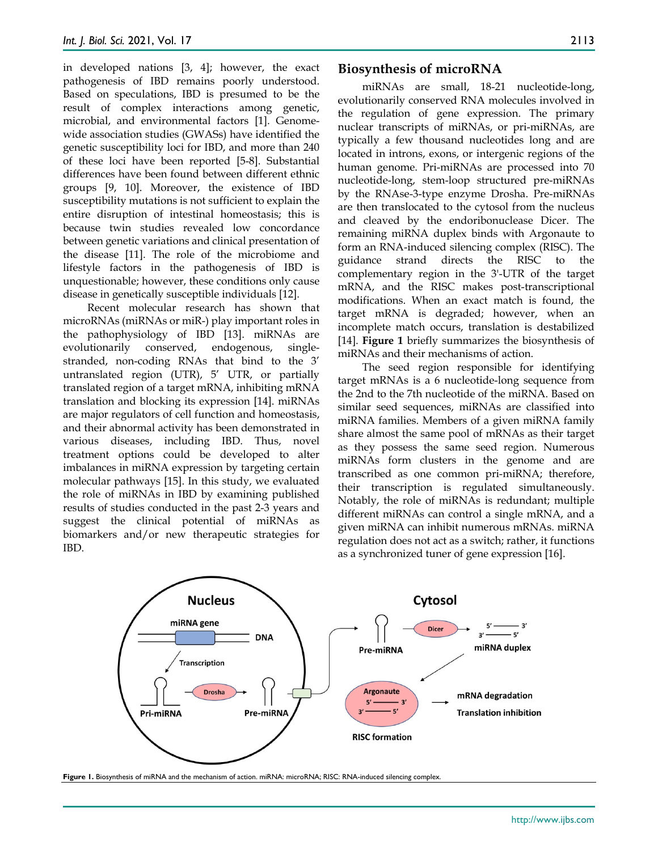in developed nations [3, 4]; however, the exact pathogenesis of IBD remains poorly understood. Based on speculations, IBD is presumed to be the result of complex interactions among genetic, microbial, and environmental factors [1]. Genomewide association studies (GWASs) have identified the genetic susceptibility loci for IBD, and more than 240 of these loci have been reported [5-8]. Substantial differences have been found between different ethnic groups [9, 10]. Moreover, the existence of IBD susceptibility mutations is not sufficient to explain the entire disruption of intestinal homeostasis; this is because twin studies revealed low concordance between genetic variations and clinical presentation of the disease [11]. The role of the microbiome and lifestyle factors in the pathogenesis of IBD is unquestionable; however, these conditions only cause disease in genetically susceptible individuals [12].

Recent molecular research has shown that microRNAs (miRNAs or miR-) play important roles in the pathophysiology of IBD [13]. miRNAs are evolutionarily conserved, endogenous, singlestranded, non-coding RNAs that bind to the 3' untranslated region (UTR), 5' UTR, or partially translated region of a target mRNA, inhibiting mRNA translation and blocking its expression [14]. miRNAs are major regulators of cell function and homeostasis, and their abnormal activity has been demonstrated in various diseases, including IBD. Thus, novel treatment options could be developed to alter imbalances in miRNA expression by targeting certain molecular pathways [15]. In this study, we evaluated the role of miRNAs in IBD by examining published results of studies conducted in the past 2-3 years and suggest the clinical potential of miRNAs as biomarkers and/or new therapeutic strategies for IBD.

#### **Biosynthesis of microRNA**

miRNAs are small, 18-21 nucleotide-long, evolutionarily conserved RNA molecules involved in the regulation of gene expression. The primary nuclear transcripts of miRNAs, or pri-miRNAs, are typically a few thousand nucleotides long and are located in introns, exons, or intergenic regions of the human genome. Pri-miRNAs are processed into 70 nucleotide-long, stem-loop structured pre-miRNAs by the RNAse-3-type enzyme Drosha. Pre-miRNAs are then translocated to the cytosol from the nucleus and cleaved by the endoribonuclease Dicer. The remaining miRNA duplex binds with Argonaute to form an RNA-induced silencing complex (RISC). The guidance strand directs the RISC to the complementary region in the 3'-UTR of the target mRNA, and the RISC makes post-transcriptional modifications. When an exact match is found, the target mRNA is degraded; however, when an incomplete match occurs, translation is destabilized [14]. **Figure 1** briefly summarizes the biosynthesis of miRNAs and their mechanisms of action.

The seed region responsible for identifying target mRNAs is a 6 nucleotide-long sequence from the 2nd to the 7th nucleotide of the miRNA. Based on similar seed sequences, miRNAs are classified into miRNA families. Members of a given miRNA family share almost the same pool of mRNAs as their target as they possess the same seed region. Numerous miRNAs form clusters in the genome and are transcribed as one common pri-miRNA; therefore, their transcription is regulated simultaneously. Notably, the role of miRNAs is redundant; multiple different miRNAs can control a single mRNA, and a given miRNA can inhibit numerous mRNAs. miRNA regulation does not act as a switch; rather, it functions as a synchronized tuner of gene expression [16].



**Figure 1.** Biosynthesis of miRNA and the mechanism of action. miRNA: microRNA; RISC: RNA-induced silencing complex.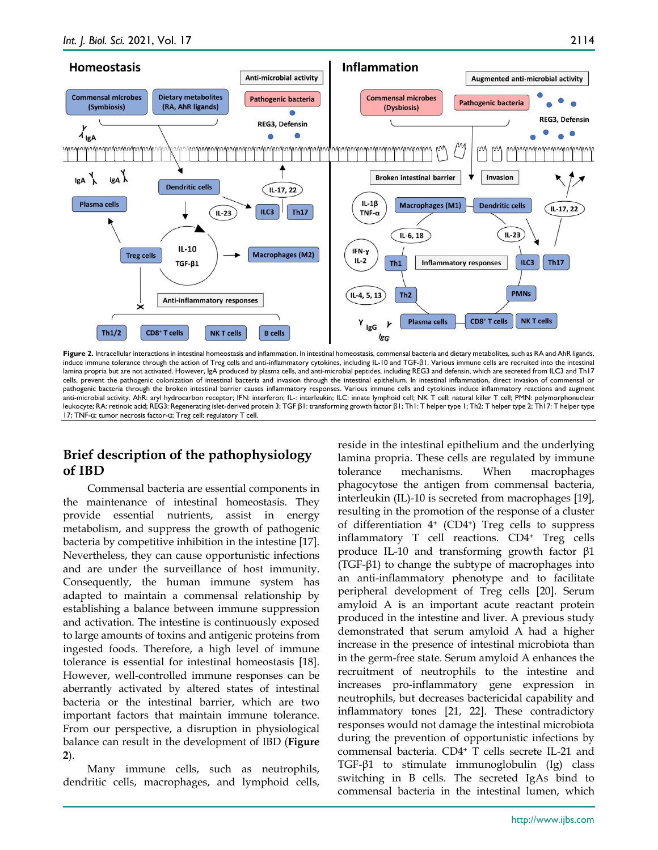

Figure 2. Intracellular interactions in intestinal homeostasis and inflammation. In intestinal homeostasis, commensal bacteria and dietary metabolites, such as RA and AhR ligands, induce immune tolerance through the action of Treg cells and anti-inflammatory cytokines, including IL-10 and TGF-β1. Various immune cells are recruited into the intestinal lamina propria but are not activated. However, IgA produced by plasma cells, and anti-microbial peptides, including REG3 and defensin, which are secreted from ILC3 and Th17 cells, prevent the pathogenic colonization of intestinal bacteria and invasion through the intestinal epithelium. In intestinal inflammation, direct invasion of commensal or pathogenic bacteria through the broken intestinal barrier causes inflammatory responses. Various immune cells and cytokines induce inflammatory reactions and augment anti-microbial activity. AhR: aryl hydrocarbon receptor; IFN: interferon; IL-: interleukin; ILC: innate lymphoid cell; NK T cell: natural killer T cell; PMN: polymorphonuclear leukocyte; RA: retinoic acid; REG3: Regenerating islet-derived protein 3; TGF β1: transforming growth factor β1; Th1: T helper type 1; Th2: T helper type 2; Th17: T helper type 17; TNF-α: tumor necrosis factor-α; Treg cell: regulatory T cell.

## **Brief description of the pathophysiology of IBD**

Commensal bacteria are essential components in the maintenance of intestinal homeostasis. They provide essential nutrients, assist in energy metabolism, and suppress the growth of pathogenic bacteria by competitive inhibition in the intestine [17]. Nevertheless, they can cause opportunistic infections and are under the surveillance of host immunity. Consequently, the human immune system has adapted to maintain a commensal relationship by establishing a balance between immune suppression and activation. The intestine is continuously exposed to large amounts of toxins and antigenic proteins from ingested foods. Therefore, a high level of immune tolerance is essential for intestinal homeostasis [18]. However, well-controlled immune responses can be aberrantly activated by altered states of intestinal bacteria or the intestinal barrier, which are two important factors that maintain immune tolerance. From our perspective, a disruption in physiological balance can result in the development of IBD (**Figure 2**).

Many immune cells, such as neutrophils, dendritic cells, macrophages, and lymphoid cells, reside in the intestinal epithelium and the underlying lamina propria. These cells are regulated by immune tolerance mechanisms. When macrophages phagocytose the antigen from commensal bacteria, interleukin (IL)-10 is secreted from macrophages [19], resulting in the promotion of the response of a cluster of differentiation  $4^+$  (CD4<sup>+</sup>) Treg cells to suppress inflammatory T cell reactions. CD4+ Treg cells produce IL-10 and transforming growth factor β1 (TGF-β1) to change the subtype of macrophages into an anti-inflammatory phenotype and to facilitate peripheral development of Treg cells [20]. Serum amyloid A is an important acute reactant protein produced in the intestine and liver. A previous study demonstrated that serum amyloid A had a higher increase in the presence of intestinal microbiota than in the germ-free state. Serum amyloid A enhances the recruitment of neutrophils to the intestine and increases pro-inflammatory gene expression in neutrophils, but decreases bactericidal capability and inflammatory tones [21, 22]. These contradictory responses would not damage the intestinal microbiota during the prevention of opportunistic infections by commensal bacteria. CD4+ T cells secrete IL-21 and TGF-β1 to stimulate immunoglobulin (Ig) class switching in B cells. The secreted IgAs bind to commensal bacteria in the intestinal lumen, which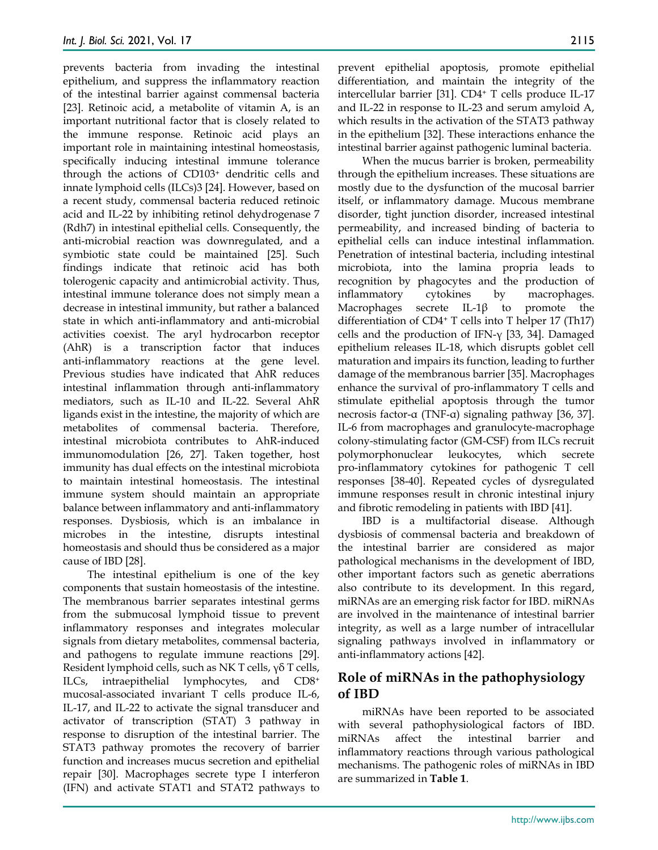prevents bacteria from invading the intestinal epithelium, and suppress the inflammatory reaction of the intestinal barrier against commensal bacteria [23]. Retinoic acid, a metabolite of vitamin A, is an important nutritional factor that is closely related to the immune response. Retinoic acid plays an important role in maintaining intestinal homeostasis, specifically inducing intestinal immune tolerance through the actions of CD103+ dendritic cells and innate lymphoid cells (ILCs)3 [24]. However, based on a recent study, commensal bacteria reduced retinoic acid and IL-22 by inhibiting retinol dehydrogenase 7 (Rdh7) in intestinal epithelial cells. Consequently, the anti-microbial reaction was downregulated, and a symbiotic state could be maintained [25]. Such findings indicate that retinoic acid has both tolerogenic capacity and antimicrobial activity. Thus, intestinal immune tolerance does not simply mean a decrease in intestinal immunity, but rather a balanced state in which anti-inflammatory and anti-microbial activities coexist. The aryl hydrocarbon receptor (AhR) is a transcription factor that induces anti-inflammatory reactions at the gene level. Previous studies have indicated that AhR reduces intestinal inflammation through anti-inflammatory mediators, such as IL-10 and IL-22. Several AhR ligands exist in the intestine, the majority of which are metabolites of commensal bacteria. Therefore, intestinal microbiota contributes to AhR-induced immunomodulation [26, 27]. Taken together, host immunity has dual effects on the intestinal microbiota to maintain intestinal homeostasis. The intestinal immune system should maintain an appropriate balance between inflammatory and anti-inflammatory responses. Dysbiosis, which is an imbalance in microbes in the intestine, disrupts intestinal homeostasis and should thus be considered as a major cause of IBD [28].

The intestinal epithelium is one of the key components that sustain homeostasis of the intestine. The membranous barrier separates intestinal germs from the submucosal lymphoid tissue to prevent inflammatory responses and integrates molecular signals from dietary metabolites, commensal bacteria, and pathogens to regulate immune reactions [29]. Resident lymphoid cells, such as NK T cells, γδ T cells, ILCs, intraepithelial lymphocytes, and CD8+ mucosal-associated invariant T cells produce IL-6, IL-17, and IL-22 to activate the signal transducer and activator of transcription (STAT) 3 pathway in response to disruption of the intestinal barrier. The STAT3 pathway promotes the recovery of barrier function and increases mucus secretion and epithelial repair [30]. Macrophages secrete type I interferon (IFN) and activate STAT1 and STAT2 pathways to

prevent epithelial apoptosis, promote epithelial differentiation, and maintain the integrity of the intercellular barrier [31]. CD4+ T cells produce IL-17 and IL-22 in response to IL-23 and serum amyloid A, which results in the activation of the STAT3 pathway in the epithelium [32]. These interactions enhance the intestinal barrier against pathogenic luminal bacteria.

When the mucus barrier is broken, permeability through the epithelium increases. These situations are mostly due to the dysfunction of the mucosal barrier itself, or inflammatory damage. Mucous membrane disorder, tight junction disorder, increased intestinal permeability, and increased binding of bacteria to epithelial cells can induce intestinal inflammation. Penetration of intestinal bacteria, including intestinal microbiota, into the lamina propria leads to recognition by phagocytes and the production of inflammatory cytokines by macrophages. Macrophages secrete IL-1β to promote the differentiation of CD4+ T cells into T helper 17 (Th17) cells and the production of IFN-γ [33, 34]. Damaged epithelium releases IL-18, which disrupts goblet cell maturation and impairs its function, leading to further damage of the membranous barrier [35]. Macrophages enhance the survival of pro-inflammatory T cells and stimulate epithelial apoptosis through the tumor necrosis factor-α (TNF‐α) signaling pathway [36, 37]. IL-6 from macrophages and granulocyte-macrophage colony-stimulating factor (GM-CSF) from ILCs recruit polymorphonuclear leukocytes, which secrete pro-inflammatory cytokines for pathogenic T cell responses [38-40]. Repeated cycles of dysregulated immune responses result in chronic intestinal injury and fibrotic remodeling in patients with IBD [41].

IBD is a multifactorial disease. Although dysbiosis of commensal bacteria and breakdown of the intestinal barrier are considered as major pathological mechanisms in the development of IBD, other important factors such as genetic aberrations also contribute to its development. In this regard, miRNAs are an emerging risk factor for IBD. miRNAs are involved in the maintenance of intestinal barrier integrity, as well as a large number of intracellular signaling pathways involved in inflammatory or anti-inflammatory actions [42].

## **Role of miRNAs in the pathophysiology of IBD**

miRNAs have been reported to be associated with several pathophysiological factors of IBD. miRNAs affect the intestinal barrier and inflammatory reactions through various pathological mechanisms. The pathogenic roles of miRNAs in IBD are summarized in **Table 1**.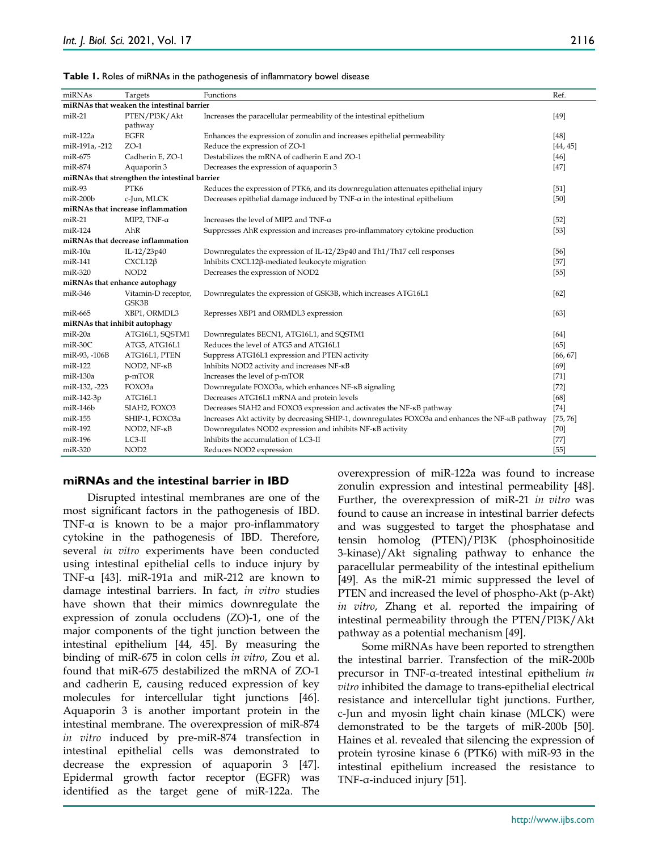| Table 1. Roles of miRNAs in the pathogenesis of inflammatory bowel disease |  |
|----------------------------------------------------------------------------|--|
|----------------------------------------------------------------------------|--|

| miRNAs                                        | Targets                           | Functions                                                                                        | Ref.     |  |  |  |  |  |
|-----------------------------------------------|-----------------------------------|--------------------------------------------------------------------------------------------------|----------|--|--|--|--|--|
| miRNAs that weaken the intestinal barrier     |                                   |                                                                                                  |          |  |  |  |  |  |
| $miR-21$                                      | PTEN/PI3K/Akt                     | Increases the paracellular permeability of the intestinal epithelium                             | $[49]$   |  |  |  |  |  |
|                                               | pathway                           |                                                                                                  |          |  |  |  |  |  |
| miR-122a                                      | <b>EGFR</b>                       | Enhances the expression of zonulin and increases epithelial permeability                         | $[48]$   |  |  |  |  |  |
| miR-191a, -212                                | $ZO-1$                            | Reduce the expression of ZO-1                                                                    | [44, 45] |  |  |  |  |  |
| miR-675                                       | Cadherin E, ZO-1                  | Destabilizes the mRNA of cadherin E and ZO-1                                                     | $[46]$   |  |  |  |  |  |
| miR-874                                       | Aquaporin 3                       | Decreases the expression of aquaporin 3                                                          | $[47]$   |  |  |  |  |  |
| miRNAs that strengthen the intestinal barrier |                                   |                                                                                                  |          |  |  |  |  |  |
| miR-93                                        | PTK6                              | Reduces the expression of PTK6, and its downregulation attenuates epithelial injury              | $[51]$   |  |  |  |  |  |
| $m$ i $R$ -200 $b$                            | c-Jun, MLCK                       | Decreases epithelial damage induced by TNF-a in the intestinal epithelium                        | $[50]$   |  |  |  |  |  |
|                                               | miRNAs that increase inflammation |                                                                                                  |          |  |  |  |  |  |
| $miR-21$                                      | MIP2, TNF-α                       | Increases the level of MIP2 and TNF-a                                                            | $[52]$   |  |  |  |  |  |
| $miR-124$                                     | AhR                               | Suppresses AhR expression and increases pro-inflammatory cytokine production                     | $[53]$   |  |  |  |  |  |
|                                               | miRNAs that decrease inflammation |                                                                                                  |          |  |  |  |  |  |
| $miR-10a$                                     | IL-12/23p40                       | Downregulates the expression of IL-12/23p40 and Th1/Th17 cell responses                          | $[56]$   |  |  |  |  |  |
| miR-141                                       | $CXCL12\beta$                     | Inhibits CXCL12β-mediated leukocyte migration                                                    | $[57]$   |  |  |  |  |  |
| $miR-320$                                     | NOD <sub>2</sub>                  | Decreases the expression of NOD2                                                                 | $[55]$   |  |  |  |  |  |
| miRNAs that enhance autophagy                 |                                   |                                                                                                  |          |  |  |  |  |  |
| miR-346                                       | Vitamin-D receptor,               | Downregulates the expression of GSK3B, which increases ATG16L1                                   | [62]     |  |  |  |  |  |
|                                               | GSK3B                             |                                                                                                  |          |  |  |  |  |  |
| miR-665                                       | XBP1, ORMDL3                      | Represses XBP1 and ORMDL3 expression                                                             | [63]     |  |  |  |  |  |
| miRNAs that inhibit autophagy                 |                                   |                                                                                                  |          |  |  |  |  |  |
| miR-20a                                       | ATG16L1, SQSTM1                   | Downregulates BECN1, ATG16L1, and SQSTM1                                                         | [64]     |  |  |  |  |  |
| miR-30C                                       | ATG5, ATG16L1                     | Reduces the level of ATG5 and ATG16L1                                                            | [65]     |  |  |  |  |  |
| miR-93, -106B                                 | ATG16L1, PTEN                     | Suppress ATG16L1 expression and PTEN activity                                                    | [66, 67] |  |  |  |  |  |
| miR-122                                       | NOD2, NF-кB                       | Inhibits NOD2 activity and increases NF-KB                                                       | [69]     |  |  |  |  |  |
| miR-130a                                      | p-mTOR                            | Increases the level of p-mTOR                                                                    | $[71]$   |  |  |  |  |  |
| miR-132, -223                                 | FOXO3a                            | Downregulate FOXO3a, which enhances NF-KB signaling                                              | $[72]$   |  |  |  |  |  |
| miR-142-3p                                    | ATG16L1                           | Decreases ATG16L1 mRNA and protein levels                                                        | [68]     |  |  |  |  |  |
| miR-146b                                      | SIAH2, FOXO3                      | Decreases SIAH2 and FOXO3 expression and activates the NF-KB pathway                             | $[74]$   |  |  |  |  |  |
| miR-155                                       | SHIP-1, FOXO3a                    | Increases Akt activity by decreasing SHIP-1, downregulates FOXO3a and enhances the NF-KB pathway | [75, 76] |  |  |  |  |  |
| miR-192                                       | NOD2, NF-кB                       | Downregulates NOD2 expression and inhibits NF-KB activity                                        | $[70]$   |  |  |  |  |  |
| miR-196                                       | $LC3-II$                          | Inhibits the accumulation of LC3-II                                                              | $[77]$   |  |  |  |  |  |
| $miR-320$                                     | NOD <sub>2</sub>                  | Reduces NOD2 expression                                                                          | $[55]$   |  |  |  |  |  |

#### **miRNAs and the intestinal barrier in IBD**

Disrupted intestinal membranes are one of the most significant factors in the pathogenesis of IBD. TNF-α is known to be a major pro-inflammatory cytokine in the pathogenesis of IBD. Therefore, several *in vitro* experiments have been conducted using intestinal epithelial cells to induce injury by TNF-α [43]. miR-191a and miR-212 are known to damage intestinal barriers. In fact, *in vitro* studies have shown that their mimics downregulate the expression of zonula occludens (ZO)-1, one of the major components of the tight junction between the intestinal epithelium [44, 45]. By measuring the binding of miR-675 in colon cells *in vitro*, Zou et al. found that miR-675 destabilized the mRNA of ZO-1 and cadherin E, causing reduced expression of key molecules for intercellular tight junctions [46]. Aquaporin 3 is another important protein in the intestinal membrane. The overexpression of miR-874 *in vitro* induced by pre-miR-874 transfection in intestinal epithelial cells was demonstrated to decrease the expression of aquaporin 3 [47]. Epidermal growth factor receptor (EGFR) was identified as the target gene of miR-122a. The

overexpression of miR-122a was found to increase zonulin expression and intestinal permeability [48]. Further, the overexpression of miR-21 *in vitro* was found to cause an increase in intestinal barrier defects and was suggested to target the phosphatase and tensin homolog (PTEN)/PI3K (phosphoinositide 3-kinase)/Akt signaling pathway to enhance the paracellular permeability of the intestinal epithelium [49]. As the miR-21 mimic suppressed the level of PTEN and increased the level of phospho-Akt (p-Akt) *in vitro*, Zhang et al. reported the impairing of intestinal permeability through the PTEN/PI3K/Akt pathway as a potential mechanism [49].

Some miRNAs have been reported to strengthen the intestinal barrier. Transfection of the miR-200b precursor in TNF-α-treated intestinal epithelium *in vitro* inhibited the damage to trans-epithelial electrical resistance and intercellular tight junctions. Further, c-Jun and myosin light chain kinase (MLCK) were demonstrated to be the targets of miR-200b [50]. Haines et al. revealed that silencing the expression of protein tyrosine kinase 6 (PTK6) with miR-93 in the intestinal epithelium increased the resistance to TNF-α-induced injury [51].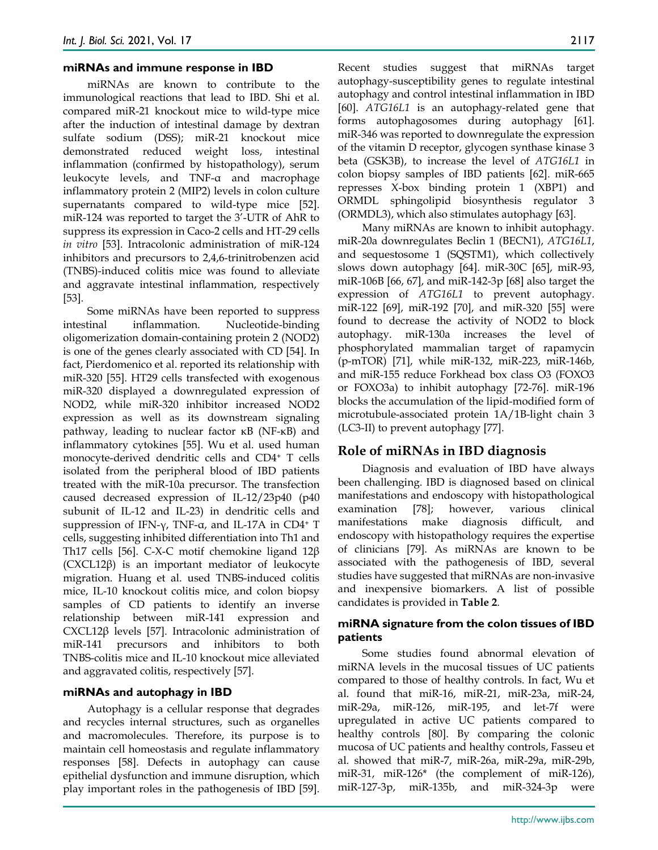#### **miRNAs and immune response in IBD**

miRNAs are known to contribute to the immunological reactions that lead to IBD. Shi et al. compared miR-21 knockout mice to wild-type mice after the induction of intestinal damage by dextran sulfate sodium (DSS); miR-21 knockout mice demonstrated reduced weight loss, intestinal inflammation (confirmed by histopathology), serum leukocyte levels, and TNF-α and macrophage inflammatory protein 2 (MIP2) levels in colon culture supernatants compared to wild-type mice [52]. miR-124 was reported to target the 3'-UTR of AhR to suppress its expression in Caco-2 cells and HT-29 cells *in vitro* [53]. Intracolonic administration of miR-124 inhibitors and precursors to 2,4,6-trinitrobenzen acid (TNBS)-induced colitis mice was found to alleviate and aggravate intestinal inflammation, respectively [53].

Some miRNAs have been reported to suppress intestinal inflammation. Nucleotide-binding oligomerization domain-containing protein 2 (NOD2) is one of the genes clearly associated with CD [54]. In fact, Pierdomenico et al. reported its relationship with miR-320 [55]. HT29 cells transfected with exogenous miR-320 displayed a downregulated expression of NOD2, while miR-320 inhibitor increased NOD2 expression as well as its downstream signaling pathway, leading to nuclear factor κB (NF-κB) and inflammatory cytokines [55]. Wu et al. used human monocyte-derived dendritic cells and CD4+ T cells isolated from the peripheral blood of IBD patients treated with the miR-10a precursor. The transfection caused decreased expression of IL-12/23p40 (p40 subunit of IL-12 and IL-23) in dendritic cells and suppression of IFN-γ, TNF-α, and IL-17A in CD4+ T cells, suggesting inhibited differentiation into Th1 and Th17 cells [56]. C-X-C motif chemokine ligand 12β (CXCL12β) is an important mediator of leukocyte migration. Huang et al. used TNBS-induced colitis mice, IL-10 knockout colitis mice, and colon biopsy samples of CD patients to identify an inverse relationship between miR-141 expression and CXCL12β levels [57]. Intracolonic administration of miR-141 precursors and inhibitors to both TNBS-colitis mice and IL-10 knockout mice alleviated and aggravated colitis, respectively [57].

#### **miRNAs and autophagy in IBD**

Autophagy is a cellular response that degrades and recycles internal structures, such as organelles and macromolecules. Therefore, its purpose is to maintain cell homeostasis and regulate inflammatory responses [58]. Defects in autophagy can cause epithelial dysfunction and immune disruption, which play important roles in the pathogenesis of IBD [59].

Recent studies suggest that miRNAs target autophagy-susceptibility genes to regulate intestinal autophagy and control intestinal inflammation in IBD [60]. *ATG16L1* is an autophagy-related gene that forms autophagosomes during autophagy [61]. miR-346 was reported to downregulate the expression of the vitamin D receptor, glycogen synthase kinase 3 beta (GSK3B), to increase the level of *ATG16L1* in colon biopsy samples of IBD patients [62]. miR-665 represses X-box binding protein 1 (XBP1) and ORMDL sphingolipid biosynthesis regulator 3 (ORMDL3), which also stimulates autophagy [63].

Many miRNAs are known to inhibit autophagy. miR-20a downregulates Beclin 1 (BECN1), *ATG16L1*, and sequestosome 1 (SQSTM1), which collectively slows down autophagy [64]. miR-30C [65], miR-93, miR-106B [66, 67], and miR-142-3p [68] also target the expression of *ATG16L1* to prevent autophagy. miR-122 [69], miR-192 [70], and miR-320 [55] were found to decrease the activity of NOD2 to block autophagy. miR-130a increases the level of phosphorylated mammalian target of rapamycin (p-mTOR) [71], while miR-132, miR-223, miR-146b, and miR-155 reduce Forkhead box class O3 (FOXO3 or FOXO3a) to inhibit autophagy [72-76]. miR-196 blocks the accumulation of the lipid-modified form of microtubule-associated protein 1A/1B-light chain 3 (LC3-II) to prevent autophagy [77].

#### **Role of miRNAs in IBD diagnosis**

Diagnosis and evaluation of IBD have always been challenging. IBD is diagnosed based on clinical manifestations and endoscopy with histopathological examination [78]; however, various clinical manifestations make diagnosis difficult, and endoscopy with histopathology requires the expertise of clinicians [79]. As miRNAs are known to be associated with the pathogenesis of IBD, several studies have suggested that miRNAs are non-invasive and inexpensive biomarkers. A list of possible candidates is provided in **Table 2**.

#### **miRNA signature from the colon tissues of IBD patients**

Some studies found abnormal elevation of miRNA levels in the mucosal tissues of UC patients compared to those of healthy controls. In fact, Wu et al. found that miR-16, miR-21, miR-23a, miR-24, miR-29a, miR-126, miR-195, and let-7f were upregulated in active UC patients compared to healthy controls [80]. By comparing the colonic mucosa of UC patients and healthy controls, Fasseu et al. showed that miR-7, miR-26a, miR-29a, miR-29b, miR-31, miR-126\* (the complement of miR-126), miR-127-3p, miR-135b, and miR-324-3p were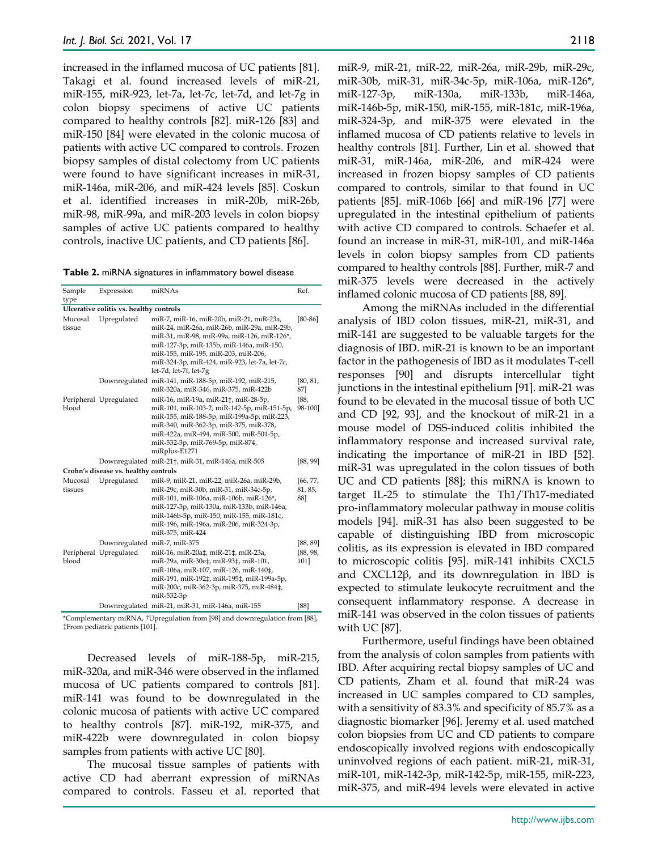increased in the inflamed mucosa of UC patients [81]. Takagi et al. found increased levels of miR-21, miR-155, miR-923, let-7a, let-7c, let-7d, and let-7g in colon biopsy specimens of active UC patients compared to healthy controls [82]. miR-126 [83] and miR-150 [84] were elevated in the colonic mucosa of patients with active UC compared to controls. Frozen biopsy samples of distal colectomy from UC patients were found to have significant increases in miR-31, miR-146a, miR-206, and miR-424 levels [85]. Coskun et al. identified increases in miR-20b, miR-26b, miR-98, miR-99a, and miR-203 levels in colon biopsy samples of active UC patients compared to healthy controls, inactive UC patients, and CD patients [86].

**Table 2.** miRNA signatures in inflammatory bowel disease

| Sample                                  | Expression                   | miRNAs                                                                                                                                                                                                                                                                                               | Ref.                       |  |  |  |  |
|-----------------------------------------|------------------------------|------------------------------------------------------------------------------------------------------------------------------------------------------------------------------------------------------------------------------------------------------------------------------------------------------|----------------------------|--|--|--|--|
| type                                    |                              |                                                                                                                                                                                                                                                                                                      |                            |  |  |  |  |
| Ulcerative colitis vs. healthy controls |                              |                                                                                                                                                                                                                                                                                                      |                            |  |  |  |  |
| Mucosal<br>tissue                       | Upregulated                  | miR-7, miR-16, miR-20b, miR-21, miR-23a,<br>miR-24, miR-26a, miR-26b, miR-29a, miR-29b,<br>miR-31, miR-98, miR-99a, miR-126, miR-126*,<br>miR-127-3p, miR-135b, miR-146a, miR-150,<br>miR-155, miR-195, miR-203, miR-206,<br>miR-324-3p, miR-424, miR-923, let-7a, let-7c,<br>let-7d, let-7f, let-7g | $[80-86]$                  |  |  |  |  |
|                                         |                              | Downregulated miR-141, miR-188-5p, miR-192, miR-215,<br>miR-320a, miR-346, miR-375, miR-422b                                                                                                                                                                                                         | [80, 81,<br>87]            |  |  |  |  |
| blood                                   | Peripheral Upregulated       | miR-16, miR-19a, miR-21 <sup>+</sup> , miR-28-5p,<br>miR-101, miR-103-2, miR-142-5p, miR-151-5p,<br>miR-155, miR-188-5p, miR-199a-5p, miR-223,<br>miR-340, miR-362-3p, miR-375, miR-378,<br>miR-422a, miR-494, miR-500, miR-501-5p,<br>miR-532-3p, miR-769-5p, miR-874,<br>miRplus-E1271             | [88,<br>98-100]            |  |  |  |  |
|                                         |                              | Downregulated miR-21 <sup>+</sup> , miR-31, miR-146a, miR-505                                                                                                                                                                                                                                        | [88, 99]                   |  |  |  |  |
| Crohn's disease vs. healthy controls    |                              |                                                                                                                                                                                                                                                                                                      |                            |  |  |  |  |
| Mucosal<br>tissues                      | Upregulated                  | miR-9, miR-21, miR-22, miR-26a, miR-29b,<br>miR-29c, miR-30b, miR-31, miR-34c-5p,<br>miR-101, miR-106a, miR-106b, miR-126*,<br>miR-127-3p, miR-130a, miR-133b, miR-146a,<br>miR-146b-5p, miR-150, miR-155, miR-181c,<br>miR-196, miR-196a, miR-206, miR-324-3p,<br>miR-375, miR-424                  | [66, 77,<br>81, 85,<br>88] |  |  |  |  |
|                                         | Downregulated miR-7, miR-375 |                                                                                                                                                                                                                                                                                                      | [88, 89]                   |  |  |  |  |
| blood                                   | Peripheral Upregulated       | miR-16, miR-20a‡, miR-21‡, miR-23a,<br>miR-29a, miR-30e‡, miR-93‡, miR-101,<br>miR-106a, miR-107, miR-126, miR-140‡,<br>miR-191, miR-192‡, miR-195‡, miR-199a-5p,<br>miR-200c, miR-362-3p, miR-375, miR-484‡,<br>miR-532-3p                                                                          | [88, 98,<br>101]           |  |  |  |  |
|                                         |                              | Downregulated miR-21, miR-31, miR-146a, miR-155                                                                                                                                                                                                                                                      | [88]                       |  |  |  |  |

\*Complementary miRNA, †Upregulation from [98] and downregulation from [88], ‡From pediatric patients [101].

Decreased levels of miR-188-5p, miR-215, miR-320a, and miR-346 were observed in the inflamed mucosa of UC patients compared to controls [81]. miR-141 was found to be downregulated in the colonic mucosa of patients with active UC compared to healthy controls [87]. miR-192, miR-375, and miR-422b were downregulated in colon biopsy samples from patients with active UC [80].

The mucosal tissue samples of patients with active CD had aberrant expression of miRNAs compared to controls. Fasseu et al. reported that miR-9, miR-21, miR-22, miR-26a, miR-29b, miR-29c, miR-30b, miR-31, miR-34c-5p, miR-106a, miR-126\*, miR-127-3p, miR-130a, miR-133b, miR-146a, miR-146b-5p, miR-150, miR-155, miR-181c, miR-196a, miR-324-3p, and miR-375 were elevated in the inflamed mucosa of CD patients relative to levels in healthy controls [81]. Further, Lin et al. showed that miR-31, miR-146a, miR-206, and miR-424 were increased in frozen biopsy samples of CD patients compared to controls, similar to that found in UC patients [85]. miR-106b [66] and miR-196 [77] were upregulated in the intestinal epithelium of patients with active CD compared to controls. Schaefer et al. found an increase in miR-31, miR-101, and miR-146a levels in colon biopsy samples from CD patients compared to healthy controls [88]. Further, miR-7 and miR-375 levels were decreased in the actively inflamed colonic mucosa of CD patients [88, 89].

Among the miRNAs included in the differential analysis of IBD colon tissues, miR-21, miR-31, and miR-141 are suggested to be valuable targets for the diagnosis of IBD. miR-21 is known to be an important factor in the pathogenesis of IBD as it modulates T-cell responses [90] and disrupts intercellular tight junctions in the intestinal epithelium [91]. miR-21 was found to be elevated in the mucosal tissue of both UC and CD [92, 93], and the knockout of miR-21 in a mouse model of DSS-induced colitis inhibited the inflammatory response and increased survival rate, indicating the importance of miR-21 in IBD [52]. miR-31 was upregulated in the colon tissues of both UC and CD patients [88]; this miRNA is known to target IL-25 to stimulate the Th1/Th17-mediated pro-inflammatory molecular pathway in mouse colitis models [94]. miR-31 has also been suggested to be capable of distinguishing IBD from microscopic colitis, as its expression is elevated in IBD compared to microscopic colitis [95]. miR-141 inhibits CXCL5 and CXCL12β, and its downregulation in IBD is expected to stimulate leukocyte recruitment and the consequent inflammatory response. A decrease in miR-141 was observed in the colon tissues of patients with UC [87].

Furthermore, useful findings have been obtained from the analysis of colon samples from patients with IBD. After acquiring rectal biopsy samples of UC and CD patients, Zham et al. found that miR-24 was increased in UC samples compared to CD samples, with a sensitivity of 83.3% and specificity of 85.7% as a diagnostic biomarker [96]. Jeremy et al. used matched colon biopsies from UC and CD patients to compare endoscopically involved regions with endoscopically uninvolved regions of each patient. miR-21, miR-31, miR-101, miR-142-3p, miR-142-5p, miR-155, miR-223, miR-375, and miR-494 levels were elevated in active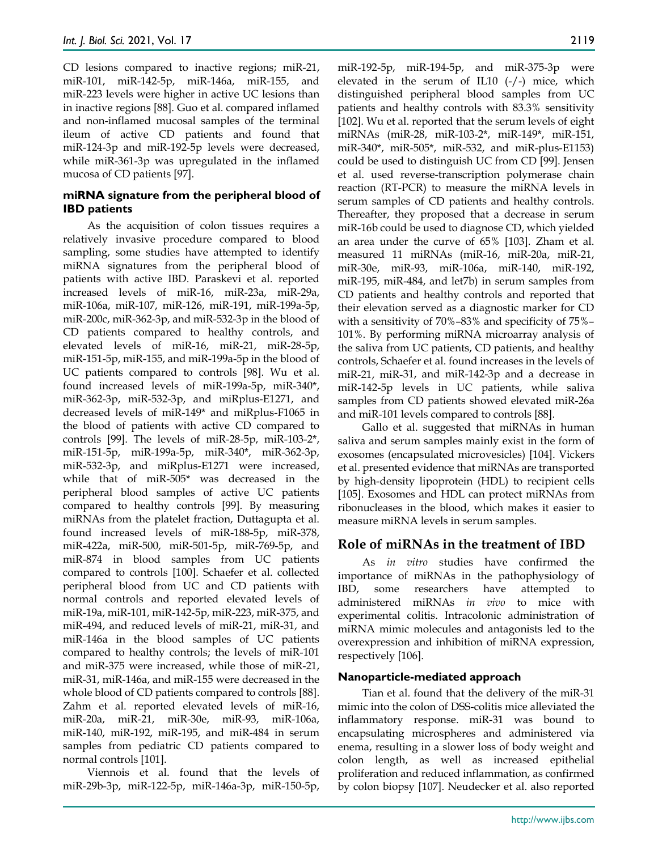CD lesions compared to inactive regions; miR-21, miR-101, miR-142-5p, miR-146a, miR-155, and miR-223 levels were higher in active UC lesions than in inactive regions [88]. Guo et al. compared inflamed and non-inflamed mucosal samples of the terminal ileum of active CD patients and found that miR-124-3p and miR-192-5p levels were decreased, while miR-361-3p was upregulated in the inflamed mucosa of CD patients [97].

#### **miRNA signature from the peripheral blood of IBD patients**

As the acquisition of colon tissues requires a relatively invasive procedure compared to blood sampling, some studies have attempted to identify miRNA signatures from the peripheral blood of patients with active IBD. Paraskevi et al. reported increased levels of miR-16, miR-23a, miR-29a, miR-106a, miR-107, miR-126, miR-191, miR-199a-5p, miR-200c, miR-362-3p, and miR-532-3p in the blood of CD patients compared to healthy controls, and elevated levels of miR-16, miR-21, miR-28-5p, miR-151-5p, miR-155, and miR-199a-5p in the blood of UC patients compared to controls [98]. Wu et al. found increased levels of miR-199a-5p, miR-340\*, miR-362-3p, miR-532-3p, and miRplus-E1271, and decreased levels of miR-149\* and miRplus-F1065 in the blood of patients with active CD compared to controls [99]. The levels of miR-28-5p, miR-103-2\*, miR-151-5p, miR-199a-5p, miR-340\*, miR-362-3p, miR-532-3p, and miRplus-E1271 were increased, while that of miR-505\* was decreased in the peripheral blood samples of active UC patients compared to healthy controls [99]. By measuring miRNAs from the platelet fraction, Duttagupta et al. found increased levels of miR-188-5p, miR-378, miR-422a, miR-500, miR-501-5p, miR-769-5p, and miR-874 in blood samples from UC patients compared to controls [100]. Schaefer et al. collected peripheral blood from UC and CD patients with normal controls and reported elevated levels of miR-19a, miR-101, miR-142-5p, miR-223, miR-375, and miR-494, and reduced levels of miR-21, miR-31, and miR-146a in the blood samples of UC patients compared to healthy controls; the levels of miR-101 and miR-375 were increased, while those of miR-21, miR-31, miR-146a, and miR-155 were decreased in the whole blood of CD patients compared to controls [88]. Zahm et al. reported elevated levels of miR-16, miR-20a, miR-21, miR-30e, miR-93, miR-106a, miR-140, miR-192, miR-195, and miR-484 in serum samples from pediatric CD patients compared to normal controls [101].

Viennois et al. found that the levels of miR-29b-3p, miR-122-5p, miR-146a-3p, miR-150-5p, miR-192-5p, miR-194-5p, and miR-375-3p were elevated in the serum of IL10 (-/-) mice, which distinguished peripheral blood samples from UC patients and healthy controls with 83.3% sensitivity [102]. Wu et al. reported that the serum levels of eight miRNAs (miR-28, miR-103-2\*, miR-149\*, miR-151, miR-340\*, miR-505\*, miR-532, and miR-plus-E1153) could be used to distinguish UC from CD [99]. Jensen et al. used reverse-transcription polymerase chain reaction (RT-PCR) to measure the miRNA levels in serum samples of CD patients and healthy controls. Thereafter, they proposed that a decrease in serum miR-16b could be used to diagnose CD, which yielded an area under the curve of 65% [103]. Zham et al. measured 11 miRNAs (miR-16, miR-20a, miR-21, miR-30e, miR-93, miR-106a, miR-140, miR-192, miR-195, miR-484, and let7b) in serum samples from CD patients and healthy controls and reported that their elevation served as a diagnostic marker for CD with a sensitivity of 70%–83% and specificity of 75%– 101%. By performing miRNA microarray analysis of the saliva from UC patients, CD patients, and healthy controls, Schaefer et al. found increases in the levels of miR-21, miR-31, and miR-142-3p and a decrease in miR-142-5p levels in UC patients, while saliva samples from CD patients showed elevated miR-26a and miR-101 levels compared to controls [88].

Gallo et al. suggested that miRNAs in human saliva and serum samples mainly exist in the form of exosomes (encapsulated microvesicles) [104]. Vickers et al. presented evidence that miRNAs are transported by high-density lipoprotein (HDL) to recipient cells [105]. Exosomes and HDL can protect miRNAs from ribonucleases in the blood, which makes it easier to measure miRNA levels in serum samples.

## **Role of miRNAs in the treatment of IBD**

As *in vitro* studies have confirmed the importance of miRNAs in the pathophysiology of IBD, some researchers have attempted to administered miRNAs *in vivo* to mice with experimental colitis. Intracolonic administration of miRNA mimic molecules and antagonists led to the overexpression and inhibition of miRNA expression, respectively [106].

#### **Nanoparticle-mediated approach**

Tian et al. found that the delivery of the miR-31 mimic into the colon of DSS-colitis mice alleviated the inflammatory response. miR-31 was bound to encapsulating microspheres and administered via enema, resulting in a slower loss of body weight and colon length, as well as increased epithelial proliferation and reduced inflammation, as confirmed by colon biopsy [107]. Neudecker et al. also reported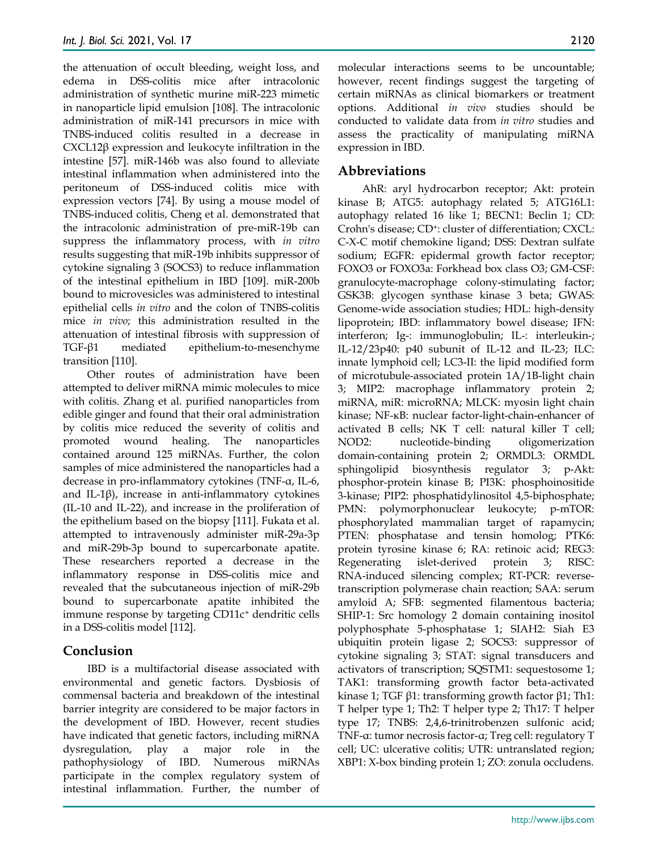the attenuation of occult bleeding, weight loss, and edema in DSS-colitis mice after intracolonic administration of synthetic murine miR-223 mimetic in nanoparticle lipid emulsion [108]. The intracolonic administration of miR-141 precursors in mice with TNBS-induced colitis resulted in a decrease in CXCL12β expression and leukocyte infiltration in the intestine [57]. miR-146b was also found to alleviate intestinal inflammation when administered into the peritoneum of DSS-induced colitis mice with expression vectors [74]. By using a mouse model of TNBS-induced colitis, Cheng et al. demonstrated that the intracolonic administration of pre-miR-19b can suppress the inflammatory process, with *in vitro* results suggesting that miR-19b inhibits suppressor of cytokine signaling 3 (SOCS3) to reduce inflammation of the intestinal epithelium in IBD [109]. miR-200b bound to microvesicles was administered to intestinal epithelial cells *in vitro* and the colon of TNBS-colitis mice *in vivo*; this administration resulted in the attenuation of intestinal fibrosis with suppression of TGF-β1 mediated epithelium-to-mesenchyme transition [110].

Other routes of administration have been attempted to deliver miRNA mimic molecules to mice with colitis. Zhang et al. purified nanoparticles from edible ginger and found that their oral administration by colitis mice reduced the severity of colitis and promoted wound healing. The nanoparticles contained around 125 miRNAs. Further, the colon samples of mice administered the nanoparticles had a decrease in pro-inflammatory cytokines (TNF-α, IL-6, and IL-1 $\beta$ ), increase in anti-inflammatory cytokines (IL-10 and IL-22), and increase in the proliferation of the epithelium based on the biopsy [111]. Fukata et al. attempted to intravenously administer miR-29a-3p and miR-29b-3p bound to supercarbonate apatite. These researchers reported a decrease in the inflammatory response in DSS-colitis mice and revealed that the subcutaneous injection of miR-29b bound to supercarbonate apatite inhibited the immune response by targeting CD11c<sup>+</sup> dendritic cells in a DSS-colitis model [112].

## **Conclusion**

IBD is a multifactorial disease associated with environmental and genetic factors. Dysbiosis of commensal bacteria and breakdown of the intestinal barrier integrity are considered to be major factors in the development of IBD. However, recent studies have indicated that genetic factors, including miRNA dysregulation, play a major role in the pathophysiology of IBD. Numerous miRNAs participate in the complex regulatory system of intestinal inflammation. Further, the number of

molecular interactions seems to be uncountable; however, recent findings suggest the targeting of certain miRNAs as clinical biomarkers or treatment options. Additional *in vivo* studies should be conducted to validate data from *in vitro* studies and assess the practicality of manipulating miRNA expression in IBD.

## **Abbreviations**

AhR: aryl hydrocarbon receptor; Akt: protein kinase B; ATG5: autophagy related 5; ATG16L1: autophagy related 16 like 1; BECN1: Beclin 1; CD: Crohn's disease; CD<sup>+</sup>: cluster of differentiation; CXCL: C-X-C motif chemokine ligand; DSS: Dextran sulfate sodium; EGFR: epidermal growth factor receptor; FOXO3 or FOXO3a: Forkhead box class O3; GM-CSF: granulocyte-macrophage colony-stimulating factor; GSK3B: glycogen synthase kinase 3 beta; GWAS: Genome-wide association studies; HDL: high-density lipoprotein; IBD: inflammatory bowel disease; IFN: interferon; Ig-: immunoglobulin; IL-: interleukin-; IL-12/23p40: p40 subunit of IL-12 and IL-23; ILC: innate lymphoid cell; LC3-II: the lipid modified form of microtubule-associated protein 1A/1B-light chain 3; MIP2: macrophage inflammatory protein 2; miRNA, miR: microRNA; MLCK: myosin light chain kinase; NF-κB: nuclear factor-light-chain-enhancer of activated B cells; NK T cell: natural killer T cell; NOD2: nucleotide-binding oligomerization domain-containing protein 2; ORMDL3: ORMDL sphingolipid biosynthesis regulator 3; p-Akt: phosphor-protein kinase B; PI3K: phosphoinositide 3-kinase; PIP2: phosphatidylinositol 4,5-biphosphate; PMN: polymorphonuclear leukocyte; p-mTOR: phosphorylated mammalian target of rapamycin; PTEN: phosphatase and tensin homolog; PTK6: protein tyrosine kinase 6; RA: retinoic acid; REG3: Regenerating islet-derived protein 3; RISC: RNA-induced silencing complex; RT-PCR: reversetranscription polymerase chain reaction; SAA: serum amyloid A; SFB: segmented filamentous bacteria; SHIP-1: Src homology 2 domain containing inositol polyphosphate 5-phosphatase 1; SIAH2: Siah E3 ubiquitin protein ligase 2; SOCS3: suppressor of cytokine signaling 3; STAT: signal transducers and activators of transcription; SQSTM1: sequestosome 1; TAK1: transforming growth factor beta-activated kinase 1; TGF  $β1$ : transforming growth factor  $β1$ ; Th1: T helper type 1; Th2: T helper type 2; Th17: T helper type 17; TNBS: 2,4,6-trinitrobenzen sulfonic acid; TNF-α: tumor necrosis factor-α; Treg cell: regulatory T cell; UC: ulcerative colitis; UTR: untranslated region; XBP1: X-box binding protein 1; ZO: zonula occludens.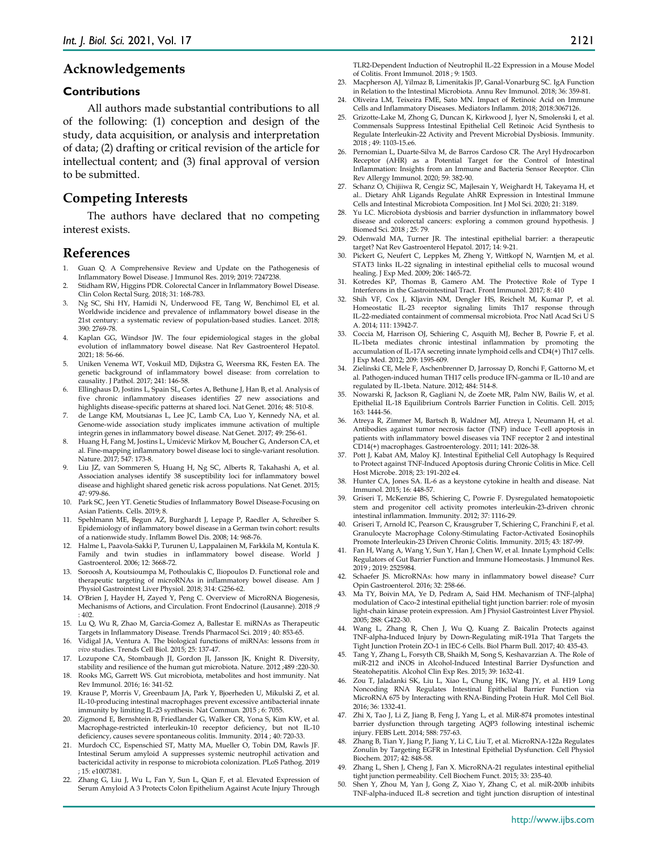#### **Acknowledgements**

#### **Contributions**

All authors made substantial contributions to all of the following: (1) conception and design of the study, data acquisition, or analysis and interpretation of data; (2) drafting or critical revision of the article for intellectual content; and (3) final approval of version to be submitted.

#### **Competing Interests**

The authors have declared that no competing interest exists.

#### **References**

- 1. Guan Q. A Comprehensive Review and Update on the Pathogenesis of Inflammatory Bowel Disease. J Immunol Res. 2019; 2019: 7247238.
- Stidham RW, Higgins PDR. Colorectal Cancer in Inflammatory Bowel Disease. Clin Colon Rectal Surg. 2018; 31: 168-783.
- 3. Ng SC, Shi HY, Hamidi N, Underwood FE, Tang W, Benchimol EI, et al. Worldwide incidence and prevalence of inflammatory bowel disease in the 21st century: a systematic review of population-based studies. Lancet. 2018; 390: 2769-78.
- 4. Kaplan GG, Windsor JW. The four epidemiological stages in the global evolution of inflammatory bowel disease. Nat Rev Gastroenterol Hepatol. 2021; 18: 56-66.
- 5. Uniken Venema WT, Voskuil MD, Dijkstra G, Weersma RK, Festen EA. The genetic background of inflammatory bowel disease: from correlation to causality. J Pathol. 2017; 241: 146-58.
- 6. Ellinghaus D, Jostins L, Spain SL, Cortes A, Bethune J, Han B, et al. Analysis of five chronic inflammatory diseases identifies 27 new associations and highlights disease-specific patterns at shared loci. Nat Genet. 2016; 48: 510-8.
- 7. de Lange KM, Moutsianas L, Lee JC, Lamb CA, Luo Y, Kennedy NA, et al. Genome-wide association study implicates immune activation of multiple integrin genes in inflammatory bowel disease. Nat Genet. 2017; 49: 256-61.
- 8. Huang H, Fang M, Jostins L, Umićević Mirkov M, Boucher G, Anderson CA, et al. Fine-mapping inflammatory bowel disease loci to single-variant resolution. Nature. 2017; 547: 173-8.
- 9. Liu JZ, van Sommeren S, Huang H, Ng SC, Alberts R, Takahashi A, et al. Association analyses identify 38 susceptibility loci for inflammatory bowel disease and highlight shared genetic risk across populations. Nat Genet. 2015; 47: 979-86.
- 10. Park SC, Jeen YT. Genetic Studies of Inflammatory Bowel Disease-Focusing on Asian Patients. Cells. 2019; 8.
- 11. Spehlmann ME, Begun AZ, Burghardt J, Lepage P, Raedler A, Schreiber S. Epidemiology of inflammatory bowel disease in a German twin cohort: results of a nationwide study. Inflamm Bowel Dis. 2008; 14: 968-76.
- 12. Halme L, Paavola-Sakki P, Turunen U, Lappalainen M, Farkkila M, Kontula K. Family and twin studies in inflammatory bowel disease. World J Gastroenterol. 2006; 12: 3668-72.
- Soroosh A, Koutsioumpa M, Pothoulakis C, Iliopoulos D. Functional role and therapeutic targeting of microRNAs in inflammatory bowel disease. Am J Physiol Gastrointest Liver Physiol. 2018; 314: G256-62.
- O'Brien J, Hayder H, Zayed Y, Peng C. Overview of MicroRNA Biogenesis, Mechanisms of Actions, and Circulation. Front Endocrinol (Lausanne). 2018 ;9 : 402.
- 15. Lu Q, Wu R, Zhao M, Garcia-Gomez A, Ballestar E. miRNAs as Therapeutic Targets in Inflammatory Disease. Trends Pharmacol Sci. 2019 ; 40: 853-65.
- 16. Vidigal JA, Ventura A. The biological functions of miRNAs: lessons from *in vivo* studies. Trends Cell Biol. 2015; 25: 137-47.
- 17. Lozupone CA, Stombaugh JI, Gordon JI, Jansson JK, Knight R. Diversity, stability and resilience of the human gut microbiota. Nature. 2012 ;489 :220-30.
- 18. Rooks MG, Garrett WS. Gut microbiota, metabolites and host immunity. Nat Rev Immunol. 2016; 16: 341-52.
- 19. Krause P, Morris V, Greenbaum JA, Park Y, Bjoerheden U, Mikulski Z, et al. IL-10-producing intestinal macrophages prevent excessive antibacterial innate immunity by limiting IL-23 synthesis. Nat Commun. 2015 ; 6: 7055.
- 20. Zigmond E, Bernshtein B, Friedlander G, Walker CR, Yona S, Kim KW, et al. Macrophage-restricted interleukin-10 receptor deficiency, but not IL-10 deficiency, causes severe spontaneous colitis. Immunity. 2014 ; 40: 720-33.
- 21. Murdoch CC, Espenschied ST, Matty MA, Mueller O, Tobin DM, Rawls JF. Intestinal Serum amyloid A suppresses systemic neutrophil activation and bactericidal activity in response to microbiota colonization. PLoS Pathog. 2019 ; 15: e1007381.
- 22. Zhang G, Liu J, Wu L, Fan Y, Sun L, Qian F, et al. Elevated Expression of Serum Amyloid A 3 Protects Colon Epithelium Against Acute Injury Through

TLR2-Dependent Induction of Neutrophil IL-22 Expression in a Mouse Model of Colitis. Front Immunol. 2018 ; 9: 1503.

- 23. Macpherson AJ, Yilmaz B, Limenitakis JP, Ganal-Vonarburg SC. IgA Function in Relation to the Intestinal Microbiota. Annu Rev Immunol. 2018; 36: 359-81.
- 24. Oliveira LM, Teixeira FME, Sato MN. Impact of Retinoic Acid on Immune Cells and Inflammatory Diseases. Mediators Inflamm. 2018; 2018:3067126.
- 25. Grizotte-Lake M, Zhong G, Duncan K, Kirkwood J, Iyer N, Smolenski I, et al. Commensals Suppress Intestinal Epithelial Cell Retinoic Acid Synthesis to Regulate Interleukin-22 Activity and Prevent Microbial Dysbiosis. Immunity. 2018 ; 49: 1103-15.e6.
- 26. Pernomian L, Duarte-Silva M, de Barros Cardoso CR. The Aryl Hydrocarbon Receptor (AHR) as a Potential Target for the Control of Intestinal Inflammation: Insights from an Immune and Bacteria Sensor Receptor. Clin Rev Allergy Immunol. 2020; 59: 382-90.
- 27. Schanz O, Chijiiwa R, Cengiz SC, Majlesain Y, Weighardt H, Takeyama H, et al.. Dietary AhR Ligands Regulate AhRR Expression in Intestinal Immune Cells and Intestinal Microbiota Composition. Int J Mol Sci. 2020; 21: 3189.
- Yu LC. Microbiota dysbiosis and barrier dysfunction in inflammatory bowel disease and colorectal cancers: exploring a common ground hypothesis. J Biomed Sci. 2018 ; 25: 79.
- 29. Odenwald MA, Turner JR. The intestinal epithelial barrier: a therapeutic target? Nat Rev Gastroenterol Hepatol. 2017; 14: 9-21.
- 30. Pickert G, Neufert C, Leppkes M, Zheng Y, Wittkopf N, Warntjen M, et al. STAT3 links IL-22 signaling in intestinal epithelial cells to mucosal wound healing. J Exp Med. 2009; 206: 1465-72.
- 31. Kotredes KP, Thomas B, Gamero AM. The Protective Role of Type I Interferons in the Gastrointestinal Tract. Front Immunol. 2017; 8: 410
- 32. Shih VF, Cox J, Kljavin NM, Dengler HS, Reichelt M, Kumar P, et al. Homeostatic IL-23 receptor signaling limits Th17 response through IL-22-mediated containment of commensal microbiota. Proc Natl Acad Sci U S A. 2014; 111: 13942-7.
- 33. Coccia M, Harrison OJ, Schiering C, Asquith MJ, Becher B, Powrie F, et al. IL-1beta mediates chronic intestinal inflammation by promoting the accumulation of IL-17A secreting innate lymphoid cells and CD4(+) Th17 cells. J Exp Med. 2012; 209: 1595-609.
- 34. Zielinski CE, Mele F, Aschenbrenner D, Jarrossay D, Ronchi F, Gattorno M, et al. Pathogen-induced human TH17 cells produce IFN-gamma or IL-10 and are regulated by IL-1beta. Nature. 2012; 484: 514-8.
- 35. Nowarski R, Jackson R, Gagliani N, de Zoete MR, Palm NW, Bailis W, et al. Epithelial IL-18 Equilibrium Controls Barrier Function in Colitis. Cell. 2015; 163: 1444-56.
- 36. Atreya R, Zimmer M, Bartsch B, Waldner MJ, Atreya I, Neumann H, et al. Antibodies against tumor necrosis factor (TNF) induce T-cell apoptosis in patients with inflammatory bowel diseases via TNF receptor 2 and intestinal CD14(+) macrophages. Gastroenterology. 2011; 141: 2026-38.
- 37. Pott J, Kabat AM, Maloy KJ. Intestinal Epithelial Cell Autophagy Is Required to Protect against TNF-Induced Apoptosis during Chronic Colitis in Mice. Cell Host Microbe. 2018; 23: 191-202 e4.
- 38. Hunter CA, Jones SA. IL-6 as a keystone cytokine in health and disease. Nat Immunol. 2015; 16: 448-57.
- 39. Griseri T, McKenzie BS, Schiering C, Powrie F. Dysregulated hematopoietic stem and progenitor cell activity promotes interleukin-23-driven chronic intestinal inflammation. Immunity. 2012; 37: 1116-29.
- 40. Griseri T, Arnold IC, Pearson C, Krausgruber T, Schiering C, Franchini F, et al. Granulocyte Macrophage Colony-Stimulating Factor-Activated Eosinophils Promote Interleukin-23 Driven Chronic Colitis. Immunity. 2015; 43: 187-99.
- 41. Fan H, Wang A, Wang Y, Sun Y, Han J, Chen W, et al. Innate Lymphoid Cells: Regulators of Gut Barrier Function and Immune Homeostasis. J Immunol Res. 2019 ; 2019: 2525984.
- 42. Schaefer JS. MicroRNAs: how many in inflammatory bowel disease? Curr Opin Gastroenterol. 2016; 32: 258-66.
- 43. Ma TY, Boivin MA, Ye D, Pedram A, Said HM. Mechanism of TNF-{alpha} modulation of Caco-2 intestinal epithelial tight junction barrier: role of myosin light-chain kinase protein expression. Am J Physiol Gastrointest Liver Physiol. 2005; 288: G422-30.
- 44. Wang L, Zhang R, Chen J, Wu Q, Kuang Z. Baicalin Protects against TNF-alpha-Induced Injury by Down-Regulating miR-191a That Targets the Tight Junction Protein ZO-1 in IEC-6 Cells. Biol Pharm Bull. 2017; 40: 435-43.
- 45. Tang Y, Zhang L, Forsyth CB, Shaikh M, Song S, Keshavarzian A. The Role of miR-212 and iNOS in Alcohol-Induced Intestinal Barrier Dysfunction and Steatohepatitis. Alcohol Clin Exp Res. 2015; 39: 1632-41.
- 46. Zou T, Jaladanki SK, Liu L, Xiao L, Chung HK, Wang JY, et al. H19 Long Noncoding RNA Regulates Intestinal Epithelial Barrier Function via MicroRNA 675 by Interacting with RNA-Binding Protein HuR. Mol Cell Biol. 2016; 36: 1332-41.
- 47. Zhi X, Tao J, Li Z, Jiang B, Feng J, Yang L, et al. MiR-874 promotes intestinal barrier dysfunction through targeting AQP3 following intestinal ischemic injury. FEBS Lett. 2014; 588: 757-63.
- Zhang B, Tian Y, Jiang P, Jiang Y, Li C, Liu T, et al. MicroRNA-122a Regulates Zonulin by Targeting EGFR in Intestinal Epithelial Dysfunction. Cell Physiol Biochem. 2017; 42: 848-58.
- 49. Zhang L, Shen J, Cheng J, Fan X. MicroRNA-21 regulates intestinal epithelial tight junction permeability. Cell Biochem Funct. 2015; 33: 235-40.
- Shen Y, Zhou M, Yan J, Gong Z, Xiao Y, Zhang C, et al. miR-200b inhibits TNF-alpha-induced IL-8 secretion and tight junction disruption of intestinal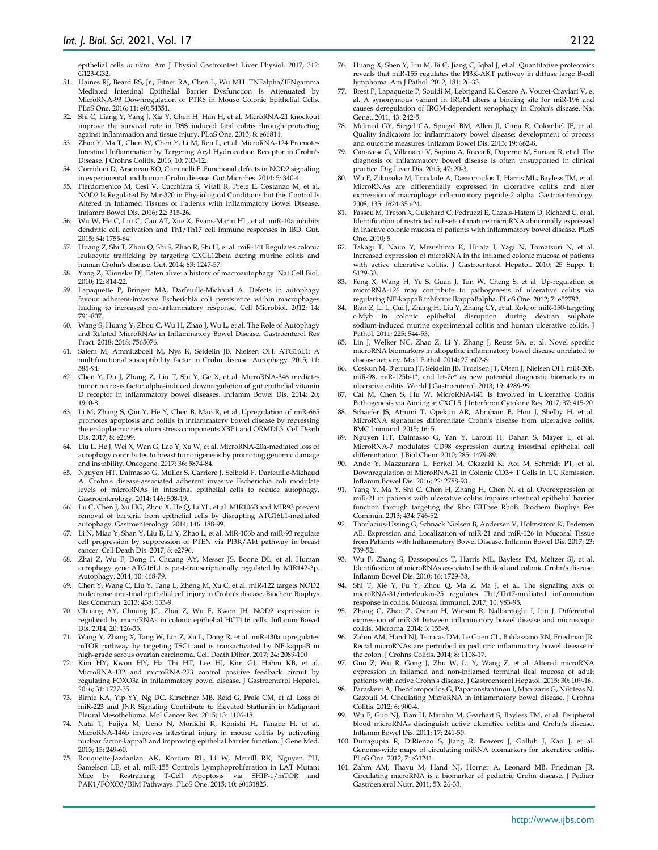epithelial cells *in vitro*. Am J Physiol Gastrointest Liver Physiol. 2017; 312: G123-G32.

- 51. Haines RJ, Beard RS, Jr., Eitner RA, Chen L, Wu MH. TNFalpha/IFNgamma Mediated Intestinal Epithelial Barrier Dysfunction Is Attenuated by MicroRNA-93 Downregulation of PTK6 in Mouse Colonic Epithelial Cells. PLoS One. 2016; 11: e0154351.
- 52. Shi C, Liang Y, Yang J, Xia Y, Chen H, Han H, et al. MicroRNA-21 knockout improve the survival rate in DSS induced fatal colitis through protecting against inflammation and tissue injury. PLoS One. 2013; 8: e66814.
- 53. Zhao Y, Ma T, Chen W, Chen Y, Li M, Ren L, et al. MicroRNA-124 Promotes Intestinal Inflammation by Targeting Aryl Hydrocarbon Receptor in Crohn's Disease. J Crohns Colitis. 2016; 10: 703-12.
- 54. Corridoni D, Arseneau KO, Cominelli F. Functional defects in NOD2 signaling in experimental and human Crohn disease. Gut Microbes. 2014; 5: 340-4.
- 55. Pierdomenico M, Cesi V, Cucchiara S, Vitali R, Prete E, Costanzo M, et al. NOD2 Is Regulated By Mir-320 in Physiological Conditions but this Control Is Altered in Inflamed Tissues of Patients with Inflammatory Bowel Disease. Inflamm Bowel Dis. 2016; 22: 315-26.
- 56. Wu W, He C, Liu C, Cao AT, Xue X, Evans-Marin HL, et al. miR-10a inhibits dendritic cell activation and Th1/Th17 cell immune responses in IBD. Gut. 2015; 64: 1755-64.
- 57. Huang Z, Shi T, Zhou Q, Shi S, Zhao R, Shi H, et al. miR-141 Regulates colonic leukocytic trafficking by targeting CXCL12beta during murine colitis and human Crohn's disease. Gut. 2014; 63: 1247-57.
- 58. Yang Z, Klionsky DJ. Eaten alive: a history of macroautophagy. Nat Cell Biol. 2010; 12: 814-22.
- 59. Lapaquette P, Bringer MA, Darfeuille-Michaud A. Defects in autophagy favour adherent-invasive Escherichia coli persistence within macrophage leading to increased pro-inflammatory response. Cell Microbiol. 2012; 14: 791-807.
- 60. Wang S, Huang Y, Zhou C, Wu H, Zhao J, Wu L, et al. The Role of Autophagy and Related MicroRNAs in Inflammatory Bowel Disease. Gastroenterol Res Pract. 2018; 2018: 7565076.
- 61. Salem M, Ammitzboell M, Nys K, Seidelin JB, Nielsen OH. ATG16L1: A multifunctional susceptibility factor in Crohn disease. Autophagy. 2015; 11: 585-94.
- 62. Chen Y, Du J, Zhang Z, Liu T, Shi Y, Ge X, et al. MicroRNA-346 mediates tumor necrosis factor alpha-induced downregulation of gut epithelial vitamin D receptor in inflammatory bowel diseases. Inflamm Bowel Dis. 2014; 20: 1910-8.
- 63. Li M, Zhang S, Qiu Y, He Y, Chen B, Mao R, et al. Upregulation of miR-665 promotes apoptosis and colitis in inflammatory bowel disease by repressing the endoplasmic reticulum stress components XBP1 and ORMDL3. Cell Death Dis. 2017; 8: e2699
- 64. Liu L, He J, Wei X, Wan G, Lao Y, Xu W, et al. MicroRNA-20a-mediated loss of autophagy contributes to breast tumorigenesis by promoting genomic damage and instability. Oncogene. 2017; 36: 5874-84.
- 65. Nguyen HT, Dalmasso G, Muller S, Carriere J, Seibold F, Darfeuille-Michaud A. Crohn's disease-associated adherent invasive Escherichia coli modulate levels of microRNAs in intestinal epithelial cells to reduce autophagy. Gastroenterology. 2014; 146: 508-19.
- 66. Lu C, Chen J, Xu HG, Zhou X, He Q, Li YL, et al. MIR106B and MIR93 prevent removal of bacteria from epithelial cells by disrupting ATG16L1-mediated autophagy. Gastroenterology. 2014; 146: 188-99.
- 67. Li N, Miao Y, Shan Y, Liu B, Li Y, Zhao L, et al. MiR-106b and miR-93 regulate cell progression by suppression of PTEN via PI3K/Akt pathway in breast cancer. Cell Death Dis. 2017; 8: e2796.
- 68. Zhai Z, Wu F, Dong F, Chuang AY, Messer JS, Boone DL, et al. Human autophagy gene ATG16L1 is post-transcriptionally regulated by MIR142-3p. Autophagy. 2014; 10: 468-79.
- 69. Chen Y, Wang C, Liu Y, Tang L, Zheng M, Xu C, et al. miR-122 targets NOD2 to decrease intestinal epithelial cell injury in Crohn's disease. Biochem Biophys Res Commun. 2013; 438: 133-9.
- 70. Chuang AY, Chuang JC, Zhai Z, Wu F, Kwon JH. NOD2 expression is regulated by microRNAs in colonic epithelial HCT116 cells. Inflamm Bowel Dis. 2014; 20: 126-35.
- 71. Wang Y, Zhang X, Tang W, Lin Z, Xu L, Dong R, et al. miR-130a upregulates mTOR pathway by targeting TSC1 and is transactivated by NF-kappaB in high-grade serous ovarian carcinoma. Cell Death Differ. 2017; 24: 2089-100
- 72. Kim HY, Kwon HY, Ha Thi HT, Lee HJ, Kim GI, Hahm KB, et al. MicroRNA-132 and microRNA-223 control positive feedback circuit by regulating FOXO3a in inflammatory bowel disease. J Gastroenterol Hepatol. 2016; 31: 1727-35.
- 73. Birnie KA, Yip YY, Ng DC, Kirschner MB, Reid G, Prele CM, et al. Loss of miR-223 and JNK Signaling Contribute to Elevated Stathmin in Malignant Pleural Mesothelioma. Mol Cancer Res. 2015; 13: 1106-18.
- 74. Nata T, Fujiya M, Ueno N, Moriichi K, Konishi H, Tanabe H, et al. MicroRNA-146b improves intestinal injury in mouse colitis by activating nuclear factor-kappaB and improving epithelial barrier function. J Gene Med. 2013; 15: 249-60.
- 75. Rouquette-Jazdanian AK, Kortum RL, Li W, Merrill RK, Nguyen PH, Samelson LE, et al. miR-155 Controls Lymphoproliferation in LAT Mutant Mice by Restraining T-Cell Apoptosis via SHIP-1/mTOR and Mice by Restraining T-Cell Apoptosis PAK1/FOXO3/BIM Pathways. PLoS One. 2015; 10: e0131823.
- 76. Huang X, Shen Y, Liu M, Bi C, Jiang C, Iqbal J, et al. Quantitative proteomics reveals that miR-155 regulates the PI3K-AKT pathway in diffuse large B-cell lymphoma. Am J Pathol. 2012; 181: 26-33.
- 77. Brest P, Lapaquette P, Souidi M, Lebrigand K, Cesaro A, Vouret-Craviari V, et al. A synonymous variant in IRGM alters a binding site for miR-196 and causes deregulation of IRGM-dependent xenophagy in Crohn's disease. Nat Genet. 2011; 43: 242-5.
- 78. Melmed GY, Siegel CA, Spiegel BM, Allen JI, Cima R, Colombel JF, et al. Quality indicators for inflammatory bowel disease: development of process and outcome measures. Inflamm Bowel Dis. 2013; 19: 662-8.
- Canavese G, Villanacci V, Sapino A, Rocca R, Daperno M, Suriani R, et al. The diagnosis of inflammatory bowel disease is often unsupported in clinical practice. Dig Liver Dis. 2015; 47: 20-3.
- 80. Wu F, Zikusoka M, Trindade A, Dassopoulos T, Harris ML, Bayless TM, et al. MicroRNAs are differentially expressed in ulcerative colitis and alter expression of macrophage inflammatory peptide-2 alpha. Gastroenterology. 2008; 135: 1624-35 e24.
- 81. Fasseu M, Treton X, Guichard C, Pedruzzi E, Cazals-Hatem D, Richard C, et al. Identification of restricted subsets of mature microRNA abnormally expressed in inactive colonic mucosa of patients with inflammatory bowel disease. PLoS One. 2010; 5.
- 82. Takagi T, Naito Y, Mizushima K, Hirata I, Yagi N, Tomatsuri N, et al. Increased expression of microRNA in the inflamed colonic mucosa of patients with active ulcerative colitis. J Gastroenterol Hepatol. 2010; 25 Suppl 1: S129-33.
- 83. Feng X, Wang H, Ye S, Guan J, Tan W, Cheng S, et al. Up-regulation of microRNA-126 may contribute to pathogenesis of ulcerative colitis via regulating NF-kappaB inhibitor IkappaBalpha. PLoS One. 2012; 7: e52782.
- 84. Bian Z, Li L, Cui J, Zhang H, Liu Y, Zhang CY, et al. Role of miR-150-targeting c-Myb in colonic epithelial disruption during dextran sulphate sodium-induced murine experimental colitis and human ulcerative colitis. J Pathol. 2011; 225: 544-53.
- 85. Lin J, Welker NC, Zhao Z, Li Y, Zhang J, Reuss SA, et al. Novel specific microRNA biomarkers in idiopathic inflammatory bowel disease unrelated to disease activity. Mod Pathol. 2014; 27: 602-8.
- 86. Coskun M, Bjerrum JT, Seidelin JB, Troelsen JT, Olsen J, Nielsen OH. miR-20b, miR-98, miR-125b-1\*, and let-7e\* as new potential diagnostic biomarkers in ulcerative colitis. World J Gastroenterol. 2013; 19: 4289-99.
- 87. Cai M, Chen S, Hu W. MicroRNA-141 Is Involved in Ulcerative Colitis Pathogenesis via Aiming at CXCL5. J Interferon Cytokine Res. 2017; 37: 415-20.
- 88. Schaefer JS, Attumi T, Opekun AR, Abraham B, Hou J, Shelby H, et al. MicroRNA signatures differentiate Crohn's disease from ulcerative colitis. BMC Immunol. 2015; 16: 5.
- 89. Nguyen HT, Dalmasso G, Yan Y, Laroui H, Dahan S, Mayer L, et al. MicroRNA-7 modulates CD98 expression during intestinal epithelial cell differentiation. J Biol Chem. 2010; 285: 1479-89.
- 90. Ando Y, Mazzurana L, Forkel M, Okazaki K, Aoi M, Schmidt PT, et al. Downregulation of MicroRNA-21 in Colonic CD3+ T Cells in UC Remission. Inflamm Bowel Dis. 2016; 22: 2788-93.
- 91. Yang Y, Ma Y, Shi C, Chen H, Zhang H, Chen N, et al. Overexpression of miR-21 in patients with ulcerative colitis impairs intestinal epithelial barrier function through targeting the Rho GTPase RhoB. Biochem Biophys Res Commun. 2013; 434: 746-52.
- 92. Thorlacius-Ussing G, Schnack Nielsen B, Andersen V, Holmstrom K, Pedersen AE. Expression and Localization of miR-21 and miR-126 in Mucosal Tissue from Patients with Inflammatory Bowel Disease. Inflamm Bowel Dis. 2017; 23: 739-52.
- 93. Wu F, Zhang S, Dassopoulos T, Harris ML, Bayless TM, Meltzer SJ, et al. Identification of microRNAs associated with ileal and colonic Crohn's disease. Inflamm Bowel Dis. 2010; 16: 1729-38.
- 94. Shi T, Xie Y, Fu Y, Zhou Q, Ma Z, Ma J, et al. The signaling axis of microRNA-31/interleukin-25 regulates Th1/Th17-mediated inflammation response in colitis. Mucosal Immunol. 2017; 10: 983-95.
- Zhang C, Zhao Z, Osman H, Watson R, Nalbantoglu I, Lin J. Differential expression of miR-31 between inflammatory bowel disease and microscopic colitis. Microrna. 2014; 3: 155-9.
- Zahm AM, Hand NJ, Tsoucas DM, Le Guen CL, Baldassano RN, Friedman JR. Rectal microRNAs are perturbed in pediatric inflammatory bowel disease of the colon. J Crohns Colitis. 2014; 8: 1108-17.
- 97. Guo Z, Wu R, Gong J, Zhu W, Li Y, Wang Z, et al. Altered microRNA expression in inflamed and non-inflamed terminal ileal mucosa of adult patients with active Crohn's disease. J Gastroenterol Hepatol. 2015; 30: 109-16.
- 98. Paraskevi A, Theodoropoulos G, Papaconstantinou I, Mantzaris G, Nikiteas N, Gazouli M. Circulating MicroRNA in inflammatory bowel disease. J Crohns Colitis. 2012; 6: 900-4.
- 99. Wu F, Guo NJ, Tian H, Marohn M, Gearhart S, Bayless TM, et al. Peripheral blood microRNAs distinguish active ulcerative colitis and Crohn's disease. Inflamm Bowel Dis. 2011; 17: 241-50.
- 100. Duttagupta R, DiRienzo S, Jiang R, Bowers J, Gollub J, Kao J, et al. Genome-wide maps of circulating miRNA biomarkers for ulcerative colitis. PLoS One. 2012; 7: e31241.
- 101. Zahm AM, Thayu M, Hand NJ, Horner A, Leonard MB, Friedman JR. Circulating microRNA is a biomarker of pediatric Crohn disease. J Pediatr Gastroenterol Nutr. 2011; 53: 26-33.